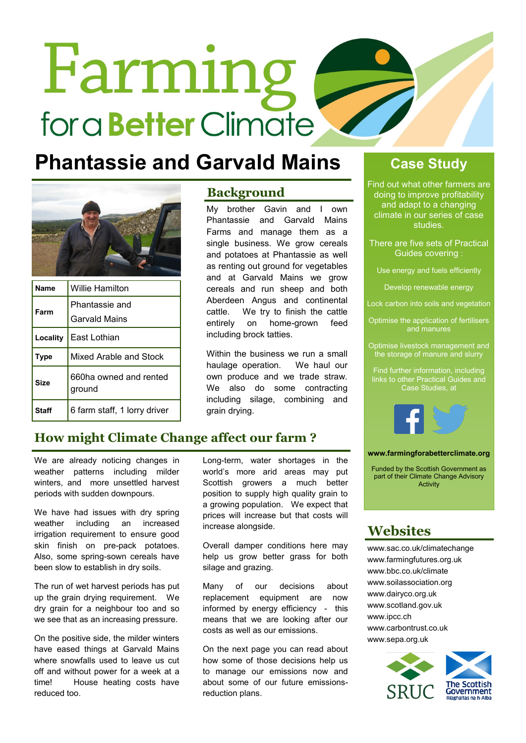# Farming for a **Better** Climate

### **Phantassie and Garvald Mains Case Study**



| Name         | <b>Willie Hamilton</b>           |
|--------------|----------------------------------|
| Farm         | Phantassie and                   |
|              | <b>Garvald Mains</b>             |
| Locality     | East Lothian                     |
| <b>Type</b>  | Mixed Arable and Stock           |
| Size         | 660ha owned and rented<br>ground |
| <b>Staff</b> | 6 farm staff, 1 lorry driver     |

### **Background**

My brother Gavin and I own Phantassie and Garvald Mains Farms and manage them as a single business. We grow cereals and potatoes at Phantassie as well as renting out ground for vegetables and at Garvald Mains we grow cereals and run sheep and both Aberdeen Angus and continental cattle. We try to finish the cattle entirely on home-grown feed including brock tatties.

Within the business we run a small haulage operation. We haul our own produce and we trade straw. We also do some contracting including silage, combining and grain drying.

Find out what other farmers are doing to improve profitability and adapt to a changing climate in our series of case studies.

There are five sets of Practical Guides covering :

Use energy and fuels efficiently

Develop renewable energy

Lock carbon into soils and vegetation

Optimise the application of fertilisers and manures

Optimise livestock management and the storage of manure and slurry

Find further information, including links to other Practical Guides and Case Studies, at



### **www.farmingforabetterclimate.org**

Funded by the Scottish Government as part of their Climate Change Advisory Activity

### **Websites**

www.sac.co.uk/climatechange www.farmingfutures.org.uk www.bbc.co.uk/climate www.soilassociation.org www.dairyco.org.uk www.scotland.gov.uk www.ipcc.ch www.carbontrust.co.uk www.sepa.org.uk



### **How might Climate Change affect our farm ?**

We are already noticing changes in weather patterns including milder winters, and more unsettled harvest periods with sudden downpours.

We have had issues with dry spring weather including an increased irrigation requirement to ensure good skin finish on pre-pack potatoes. Also, some spring-sown cereals have been slow to establish in dry soils.

The run of wet harvest periods has put up the grain drying requirement. We dry grain for a neighbour too and so we see that as an increasing pressure.

On the positive side, the milder winters have eased things at Garvald Mains where snowfalls used to leave us cut off and without power for a week at a time! House heating costs have reduced too.

Long-term, water shortages in the world's more arid areas may put Scottish growers a much better position to supply high quality grain to a growing population. We expect that prices will increase but that costs will increase alongside.

Overall damper conditions here may help us grow better grass for both silage and grazing.

Many of our decisions about replacement equipment are now informed by energy efficiency - this means that we are looking after our costs as well as our emissions.

On the next page you can read about how some of those decisions help us to manage our emissions now and about some of our future emissionsreduction plans.